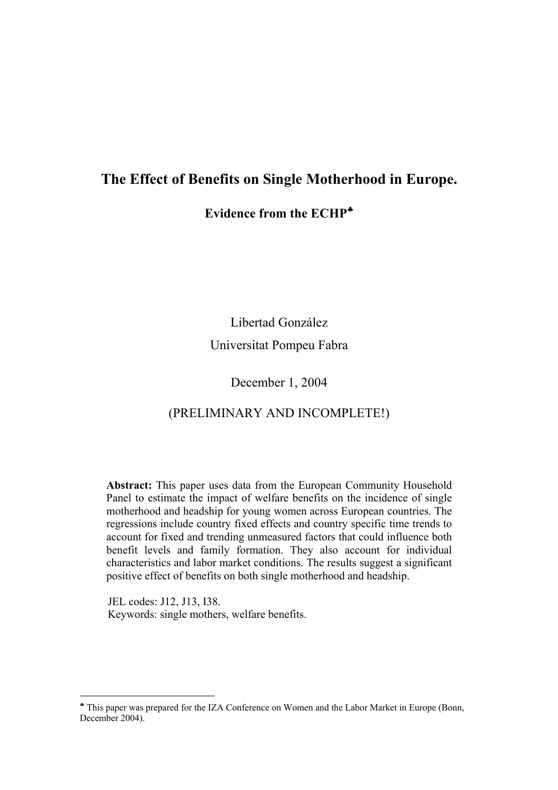## **The Effect of Benefits on Single Motherhood in Europe.**

**Evidence from the ECHP**♣

Libertad González Universitat Pompeu Fabra

### December 1, 2004

### (PRELIMINARY AND INCOMPLETE!)

**Abstract:** This paper uses data from the European Community Household Panel to estimate the impact of welfare benefits on the incidence of single motherhood and headship for young women across European countries. The regressions include country fixed effects and country specific time trends to account for fixed and trending unmeasured factors that could influence both benefit levels and family formation. They also account for individual characteristics and labor market conditions. The results suggest a significant positive effect of benefits on both single motherhood and headship.

 JEL codes: J12, J13, I38. Keywords: single mothers, welfare benefits.

<sup>♣</sup> This paper was prepared for the IZA Conference on Women and the Labor Market in Europe (Bonn, December 2004).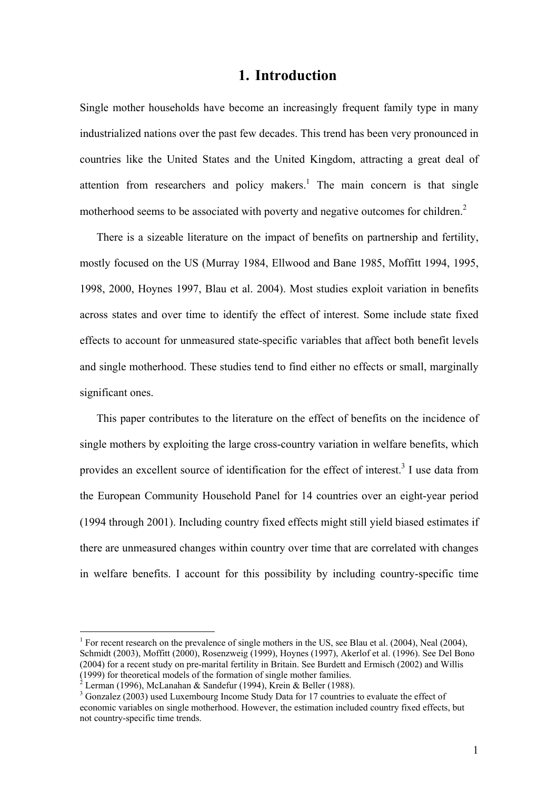### **1. Introduction**

Single mother households have become an increasingly frequent family type in many industrialized nations over the past few decades. This trend has been very pronounced in countries like the United States and the United Kingdom, attracting a great deal of attention from researchers and policy makers.<sup>1</sup> The main concern is that single motherhood seems to be associated with poverty and negative outcomes for children.<sup>2</sup>

There is a sizeable literature on the impact of benefits on partnership and fertility, mostly focused on the US (Murray 1984, Ellwood and Bane 1985, Moffitt 1994, 1995, 1998, 2000, Hoynes 1997, Blau et al. 2004). Most studies exploit variation in benefits across states and over time to identify the effect of interest. Some include state fixed effects to account for unmeasured state-specific variables that affect both benefit levels and single motherhood. These studies tend to find either no effects or small, marginally significant ones.

This paper contributes to the literature on the effect of benefits on the incidence of single mothers by exploiting the large cross-country variation in welfare benefits, which provides an excellent source of identification for the effect of interest.<sup>3</sup> I use data from the European Community Household Panel for 14 countries over an eight-year period (1994 through 2001). Including country fixed effects might still yield biased estimates if there are unmeasured changes within country over time that are correlated with changes in welfare benefits. I account for this possibility by including country-specific time

<sup>&</sup>lt;sup>1</sup> For recent research on the prevalence of single mothers in the US, see Blau et al. (2004), Neal (2004), Schmidt (2003), Moffitt (2000), Rosenzweig (1999), Hoynes (1997), Akerlof et al. (1996). See Del Bono (2004) for a recent study on pre-marital fertility in Britain. See Burdett and Ermisch (2002) and Willis (1999) for theoretical models of the formation of single mother families.<br> $^{2}$  Lerman (1006), MeLenshan & Sandefur (1004), Krain & Dellar (1098).

Lerman (1996), McLanahan & Sandefur (1994), Krein & Beller (1988).

<sup>&</sup>lt;sup>3</sup> Gonzalez (2003) used Luxembourg Income Study Data for 17 countries to evaluate the effect of economic variables on single motherhood. However, the estimation included country fixed effects, but not country-specific time trends.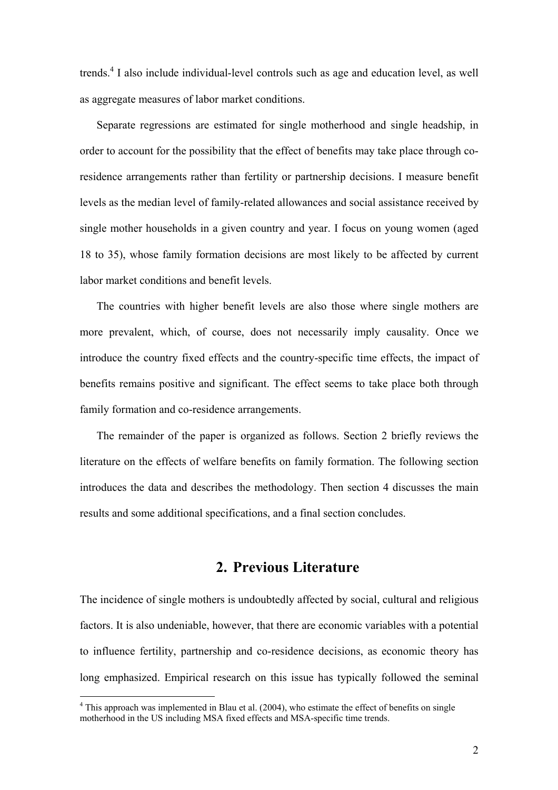trends.<sup>4</sup> I also include individual-level controls such as age and education level, as well as aggregate measures of labor market conditions.

Separate regressions are estimated for single motherhood and single headship, in order to account for the possibility that the effect of benefits may take place through coresidence arrangements rather than fertility or partnership decisions. I measure benefit levels as the median level of family-related allowances and social assistance received by single mother households in a given country and year. I focus on young women (aged 18 to 35), whose family formation decisions are most likely to be affected by current labor market conditions and benefit levels.

The countries with higher benefit levels are also those where single mothers are more prevalent, which, of course, does not necessarily imply causality. Once we introduce the country fixed effects and the country-specific time effects, the impact of benefits remains positive and significant. The effect seems to take place both through family formation and co-residence arrangements.

The remainder of the paper is organized as follows. Section 2 briefly reviews the literature on the effects of welfare benefits on family formation. The following section introduces the data and describes the methodology. Then section 4 discusses the main results and some additional specifications, and a final section concludes.

### **2. Previous Literature**

The incidence of single mothers is undoubtedly affected by social, cultural and religious factors. It is also undeniable, however, that there are economic variables with a potential to influence fertility, partnership and co-residence decisions, as economic theory has long emphasized. Empirical research on this issue has typically followed the seminal

 $4$  This approach was implemented in Blau et al. (2004), who estimate the effect of benefits on single motherhood in the US including MSA fixed effects and MSA-specific time trends.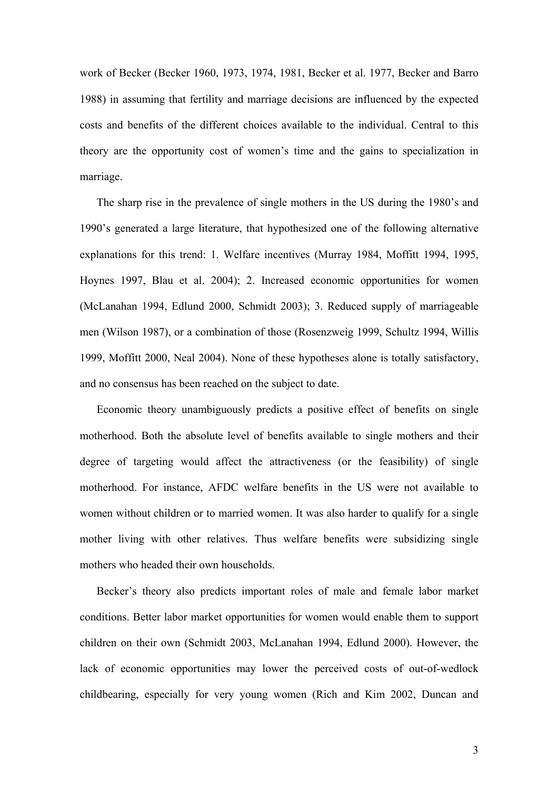work of Becker (Becker 1960, 1973, 1974, 1981, Becker et al. 1977, Becker and Barro 1988) in assuming that fertility and marriage decisions are influenced by the expected costs and benefits of the different choices available to the individual. Central to this theory are the opportunity cost of women's time and the gains to specialization in marriage.

The sharp rise in the prevalence of single mothers in the US during the 1980's and 1990's generated a large literature, that hypothesized one of the following alternative explanations for this trend: 1. Welfare incentives (Murray 1984, Moffitt 1994, 1995, Hoynes 1997, Blau et al. 2004); 2. Increased economic opportunities for women (McLanahan 1994, Edlund 2000, Schmidt 2003); 3. Reduced supply of marriageable men (Wilson 1987), or a combination of those (Rosenzweig 1999, Schultz 1994, Willis 1999, Moffitt 2000, Neal 2004). None of these hypotheses alone is totally satisfactory, and no consensus has been reached on the subject to date.

 Economic theory unambiguously predicts a positive effect of benefits on single motherhood. Both the absolute level of benefits available to single mothers and their degree of targeting would affect the attractiveness (or the feasibility) of single motherhood. For instance, AFDC welfare benefits in the US were not available to women without children or to married women. It was also harder to qualify for a single mother living with other relatives. Thus welfare benefits were subsidizing single mothers who headed their own households.

 Becker's theory also predicts important roles of male and female labor market conditions. Better labor market opportunities for women would enable them to support children on their own (Schmidt 2003, McLanahan 1994, Edlund 2000). However, the lack of economic opportunities may lower the perceived costs of out-of-wedlock childbearing, especially for very young women (Rich and Kim 2002, Duncan and

3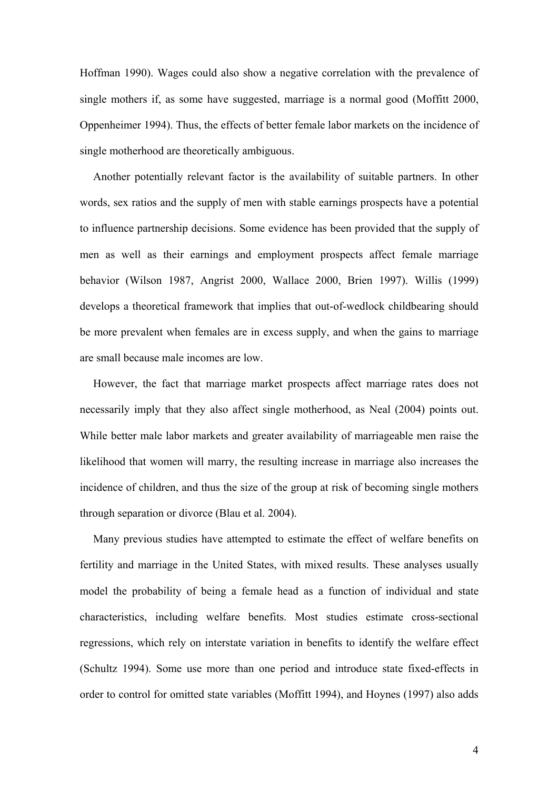Hoffman 1990). Wages could also show a negative correlation with the prevalence of single mothers if, as some have suggested, marriage is a normal good (Moffitt 2000, Oppenheimer 1994). Thus, the effects of better female labor markets on the incidence of single motherhood are theoretically ambiguous.

Another potentially relevant factor is the availability of suitable partners. In other words, sex ratios and the supply of men with stable earnings prospects have a potential to influence partnership decisions. Some evidence has been provided that the supply of men as well as their earnings and employment prospects affect female marriage behavior (Wilson 1987, Angrist 2000, Wallace 2000, Brien 1997). Willis (1999) develops a theoretical framework that implies that out-of-wedlock childbearing should be more prevalent when females are in excess supply, and when the gains to marriage are small because male incomes are low.

However, the fact that marriage market prospects affect marriage rates does not necessarily imply that they also affect single motherhood, as Neal (2004) points out. While better male labor markets and greater availability of marriageable men raise the likelihood that women will marry, the resulting increase in marriage also increases the incidence of children, and thus the size of the group at risk of becoming single mothers through separation or divorce (Blau et al. 2004).

Many previous studies have attempted to estimate the effect of welfare benefits on fertility and marriage in the United States, with mixed results. These analyses usually model the probability of being a female head as a function of individual and state characteristics, including welfare benefits. Most studies estimate cross-sectional regressions, which rely on interstate variation in benefits to identify the welfare effect (Schultz 1994). Some use more than one period and introduce state fixed-effects in order to control for omitted state variables (Moffitt 1994), and Hoynes (1997) also adds

4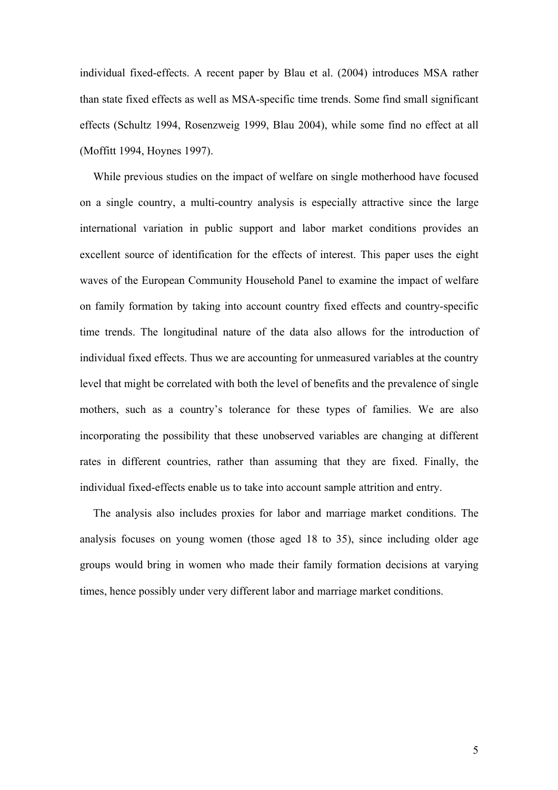individual fixed-effects. A recent paper by Blau et al. (2004) introduces MSA rather than state fixed effects as well as MSA-specific time trends. Some find small significant effects (Schultz 1994, Rosenzweig 1999, Blau 2004), while some find no effect at all (Moffitt 1994, Hoynes 1997).

While previous studies on the impact of welfare on single motherhood have focused on a single country, a multi-country analysis is especially attractive since the large international variation in public support and labor market conditions provides an excellent source of identification for the effects of interest. This paper uses the eight waves of the European Community Household Panel to examine the impact of welfare on family formation by taking into account country fixed effects and country-specific time trends. The longitudinal nature of the data also allows for the introduction of individual fixed effects. Thus we are accounting for unmeasured variables at the country level that might be correlated with both the level of benefits and the prevalence of single mothers, such as a country's tolerance for these types of families. We are also incorporating the possibility that these unobserved variables are changing at different rates in different countries, rather than assuming that they are fixed. Finally, the individual fixed-effects enable us to take into account sample attrition and entry.

The analysis also includes proxies for labor and marriage market conditions. The analysis focuses on young women (those aged 18 to 35), since including older age groups would bring in women who made their family formation decisions at varying times, hence possibly under very different labor and marriage market conditions.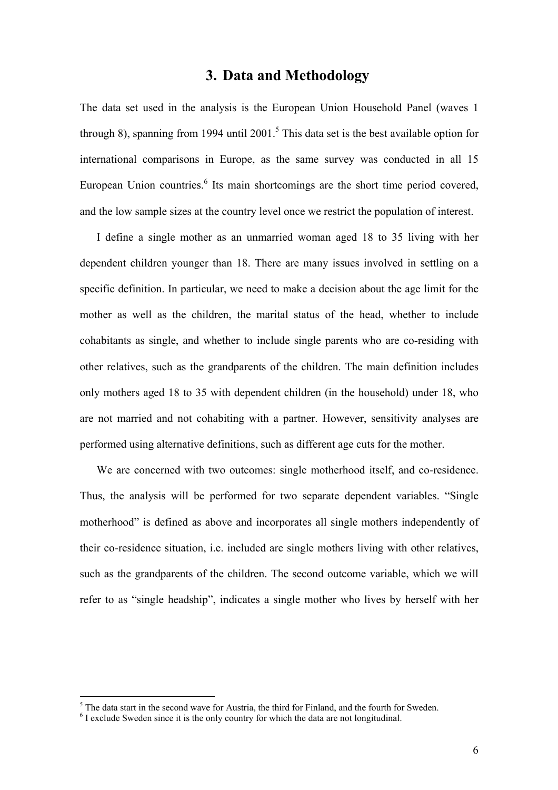## **3. Data and Methodology**

The data set used in the analysis is the European Union Household Panel (waves 1 through 8), spanning from 1994 until 2001.<sup>5</sup> This data set is the best available option for international comparisons in Europe, as the same survey was conducted in all 15 European Union countries.<sup>6</sup> Its main shortcomings are the short time period covered, and the low sample sizes at the country level once we restrict the population of interest.

I define a single mother as an unmarried woman aged 18 to 35 living with her dependent children younger than 18. There are many issues involved in settling on a specific definition. In particular, we need to make a decision about the age limit for the mother as well as the children, the marital status of the head, whether to include cohabitants as single, and whether to include single parents who are co-residing with other relatives, such as the grandparents of the children. The main definition includes only mothers aged 18 to 35 with dependent children (in the household) under 18, who are not married and not cohabiting with a partner. However, sensitivity analyses are performed using alternative definitions, such as different age cuts for the mother.

We are concerned with two outcomes: single motherhood itself, and co-residence. Thus, the analysis will be performed for two separate dependent variables. "Single motherhood" is defined as above and incorporates all single mothers independently of their co-residence situation, i.e. included are single mothers living with other relatives, such as the grandparents of the children. The second outcome variable, which we will refer to as "single headship", indicates a single mother who lives by herself with her

 $^5$  The data start in the second wave for Austria, the third for Finland, and the fourth for Sweden.

 $<sup>6</sup>$  I exclude Sweden since it is the only country for which the data are not longitudinal.</sup>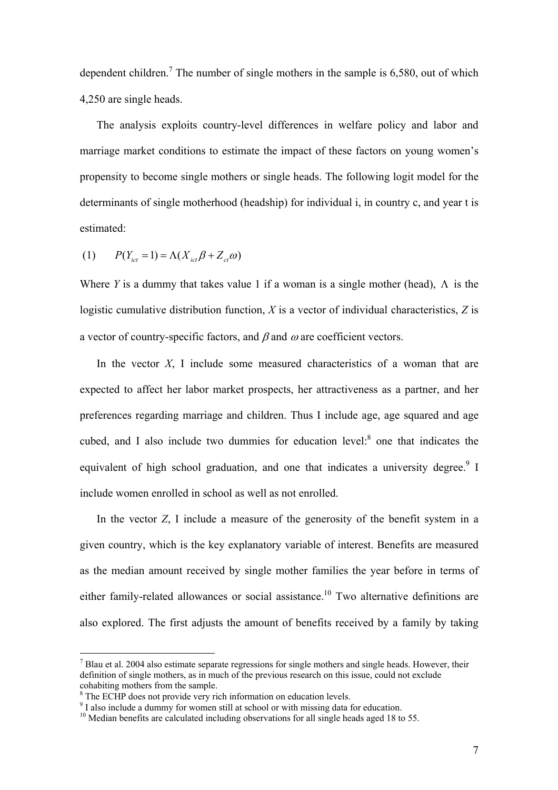dependent children.<sup>7</sup> The number of single mothers in the sample is  $6,580$ , out of which 4,250 are single heads.

The analysis exploits country-level differences in welfare policy and labor and marriage market conditions to estimate the impact of these factors on young women's propensity to become single mothers or single heads. The following logit model for the determinants of single motherhood (headship) for individual i, in country c, and year t is estimated:

$$
(1) \qquad P(Y_{ict} = 1) = \Lambda(X_{ict}\beta + Z_{ct}\omega)
$$

Where *Y* is a dummy that takes value 1 if a woman is a single mother (head),  $\Lambda$  is the logistic cumulative distribution function, *X* is a vector of individual characteristics, *Z* is a vector of country-specific factors, and  $\beta$  and  $\omega$  are coefficient vectors.

In the vector *X*, I include some measured characteristics of a woman that are expected to affect her labor market prospects, her attractiveness as a partner, and her preferences regarding marriage and children. Thus I include age, age squared and age cubed, and I also include two dummies for education level: $8$  one that indicates the equivalent of high school graduation, and one that indicates a university degree.<sup>9</sup> I include women enrolled in school as well as not enrolled.

In the vector *Z*, I include a measure of the generosity of the benefit system in a given country, which is the key explanatory variable of interest. Benefits are measured as the median amount received by single mother families the year before in terms of either family-related allowances or social assistance.<sup>10</sup> Two alternative definitions are also explored. The first adjusts the amount of benefits received by a family by taking

 $<sup>7</sup>$  Blau et al. 2004 also estimate separate regressions for single mothers and single heads. However, their</sup> definition of single mothers, as in much of the previous research on this issue, could not exclude cohabiting mothers from the sample.

<sup>&</sup>lt;sup>8</sup> The ECHP does not provide very rich information on education levels.

<sup>&</sup>lt;sup>9</sup> I also include a dummy for women still at school or with missing data for education.

 $10$  Median benefits are calculated including observations for all single heads aged 18 to 55.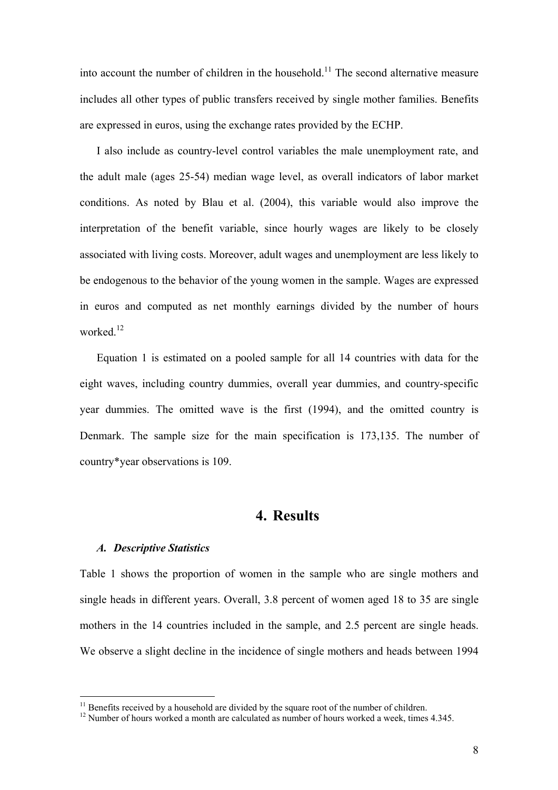into account the number of children in the household.<sup>11</sup> The second alternative measure includes all other types of public transfers received by single mother families. Benefits are expressed in euros, using the exchange rates provided by the ECHP.

I also include as country-level control variables the male unemployment rate, and the adult male (ages 25-54) median wage level, as overall indicators of labor market conditions. As noted by Blau et al. (2004), this variable would also improve the interpretation of the benefit variable, since hourly wages are likely to be closely associated with living costs. Moreover, adult wages and unemployment are less likely to be endogenous to the behavior of the young women in the sample. Wages are expressed in euros and computed as net monthly earnings divided by the number of hours worked $12$ 

Equation 1 is estimated on a pooled sample for all 14 countries with data for the eight waves, including country dummies, overall year dummies, and country-specific year dummies. The omitted wave is the first (1994), and the omitted country is Denmark. The sample size for the main specification is 173,135. The number of country\*year observations is 109.

# **4. Results**

#### *A. Descriptive Statistics*

 $\overline{a}$ 

Table 1 shows the proportion of women in the sample who are single mothers and single heads in different years. Overall, 3.8 percent of women aged 18 to 35 are single mothers in the 14 countries included in the sample, and 2.5 percent are single heads. We observe a slight decline in the incidence of single mothers and heads between 1994

<sup>&</sup>lt;sup>11</sup> Benefits received by a household are divided by the square root of the number of children. <sup>12</sup> Number of hours worked a month are calculated as number of hours worked a week, times 4.345.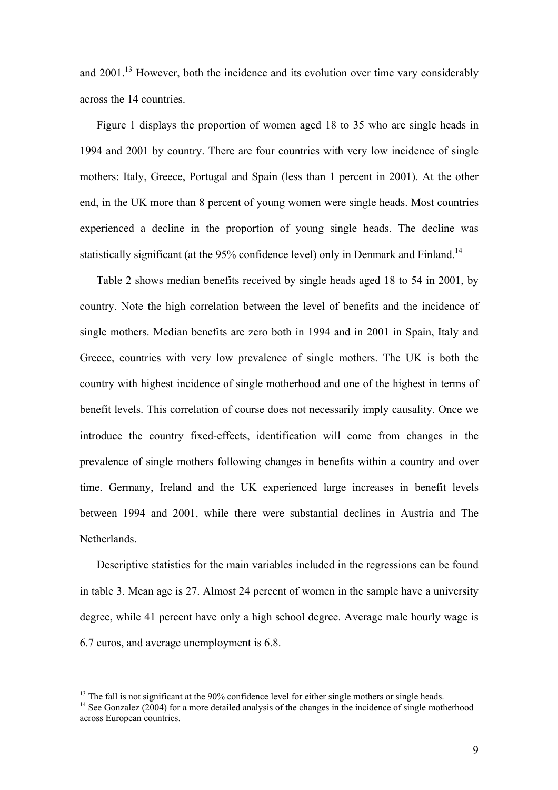and 2001.<sup>13</sup> However, both the incidence and its evolution over time vary considerably across the 14 countries.

Figure 1 displays the proportion of women aged 18 to 35 who are single heads in 1994 and 2001 by country. There are four countries with very low incidence of single mothers: Italy, Greece, Portugal and Spain (less than 1 percent in 2001). At the other end, in the UK more than 8 percent of young women were single heads. Most countries experienced a decline in the proportion of young single heads. The decline was statistically significant (at the  $95\%$  confidence level) only in Denmark and Finland.<sup>14</sup>

Table 2 shows median benefits received by single heads aged 18 to 54 in 2001, by country. Note the high correlation between the level of benefits and the incidence of single mothers. Median benefits are zero both in 1994 and in 2001 in Spain, Italy and Greece, countries with very low prevalence of single mothers. The UK is both the country with highest incidence of single motherhood and one of the highest in terms of benefit levels. This correlation of course does not necessarily imply causality. Once we introduce the country fixed-effects, identification will come from changes in the prevalence of single mothers following changes in benefits within a country and over time. Germany, Ireland and the UK experienced large increases in benefit levels between 1994 and 2001, while there were substantial declines in Austria and The Netherlands.

Descriptive statistics for the main variables included in the regressions can be found in table 3. Mean age is 27. Almost 24 percent of women in the sample have a university degree, while 41 percent have only a high school degree. Average male hourly wage is 6.7 euros, and average unemployment is 6.8.

<sup>&</sup>lt;sup>13</sup> The fall is not significant at the 90% confidence level for either single mothers or single heads. <sup>14</sup> See Gonzalez (2004) for a more detailed analysis of the changes in the incidence of single motherhood

across European countries.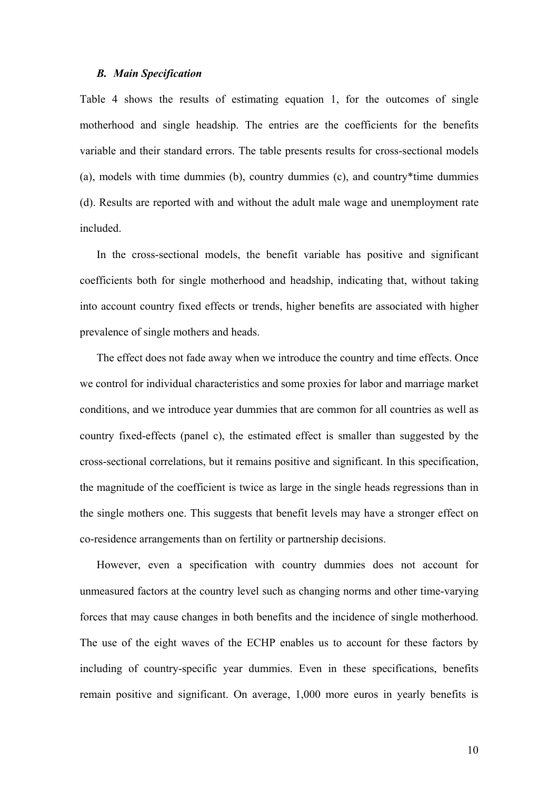#### *B. Main Specification*

Table 4 shows the results of estimating equation 1, for the outcomes of single motherhood and single headship. The entries are the coefficients for the benefits variable and their standard errors. The table presents results for cross-sectional models (a), models with time dummies (b), country dummies (c), and country\*time dummies (d). Results are reported with and without the adult male wage and unemployment rate included.

In the cross-sectional models, the benefit variable has positive and significant coefficients both for single motherhood and headship, indicating that, without taking into account country fixed effects or trends, higher benefits are associated with higher prevalence of single mothers and heads.

The effect does not fade away when we introduce the country and time effects. Once we control for individual characteristics and some proxies for labor and marriage market conditions, and we introduce year dummies that are common for all countries as well as country fixed-effects (panel c), the estimated effect is smaller than suggested by the cross-sectional correlations, but it remains positive and significant. In this specification, the magnitude of the coefficient is twice as large in the single heads regressions than in the single mothers one. This suggests that benefit levels may have a stronger effect on co-residence arrangements than on fertility or partnership decisions.

However, even a specification with country dummies does not account for unmeasured factors at the country level such as changing norms and other time-varying forces that may cause changes in both benefits and the incidence of single motherhood. The use of the eight waves of the ECHP enables us to account for these factors by including of country-specific year dummies. Even in these specifications, benefits remain positive and significant. On average, 1,000 more euros in yearly benefits is

10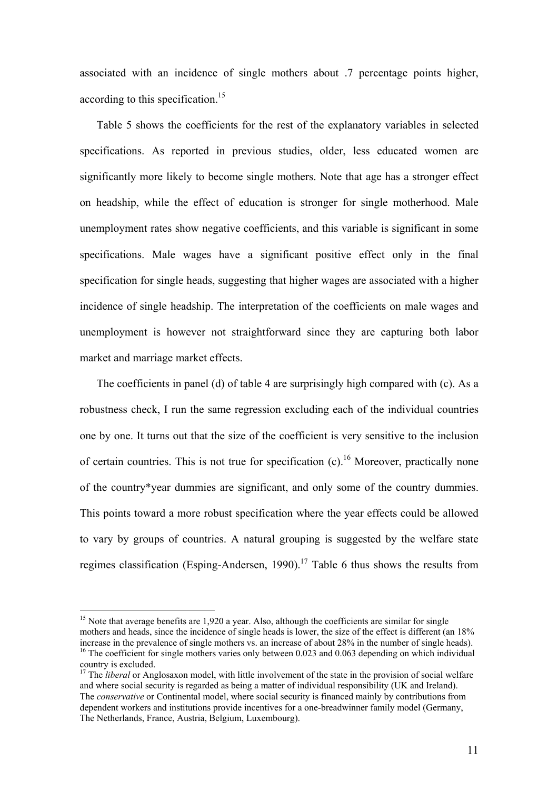associated with an incidence of single mothers about .7 percentage points higher, according to this specification.<sup>15</sup>

Table 5 shows the coefficients for the rest of the explanatory variables in selected specifications. As reported in previous studies, older, less educated women are significantly more likely to become single mothers. Note that age has a stronger effect on headship, while the effect of education is stronger for single motherhood. Male unemployment rates show negative coefficients, and this variable is significant in some specifications. Male wages have a significant positive effect only in the final specification for single heads, suggesting that higher wages are associated with a higher incidence of single headship. The interpretation of the coefficients on male wages and unemployment is however not straightforward since they are capturing both labor market and marriage market effects.

The coefficients in panel (d) of table 4 are surprisingly high compared with (c). As a robustness check, I run the same regression excluding each of the individual countries one by one. It turns out that the size of the coefficient is very sensitive to the inclusion of certain countries. This is not true for specification  $(c)$ .<sup>16</sup> Moreover, practically none of the country\*year dummies are significant, and only some of the country dummies. This points toward a more robust specification where the year effects could be allowed to vary by groups of countries. A natural grouping is suggested by the welfare state regimes classification (Esping-Andersen, 1990).<sup>17</sup> Table 6 thus shows the results from

<sup>&</sup>lt;sup>15</sup> Note that average benefits are 1,920 a year. Also, although the coefficients are similar for single mothers and heads, since the incidence of single heads is lower, the size of the effect is different (an 18% increase in the prevalence of single mothers vs. an increase of about 28% in the number of single heads). <sup>16</sup> The coefficient for single mothers varies only between 0.023 and 0.063 depending on which individual

country is excluded.

<sup>&</sup>lt;sup>17</sup> The *liberal* or Anglosaxon model, with little involvement of the state in the provision of social welfare and where social security is regarded as being a matter of individual responsibility (UK and Ireland). The *conservative* or Continental model, where social security is financed mainly by contributions from dependent workers and institutions provide incentives for a one-breadwinner family model (Germany, The Netherlands, France, Austria, Belgium, Luxembourg).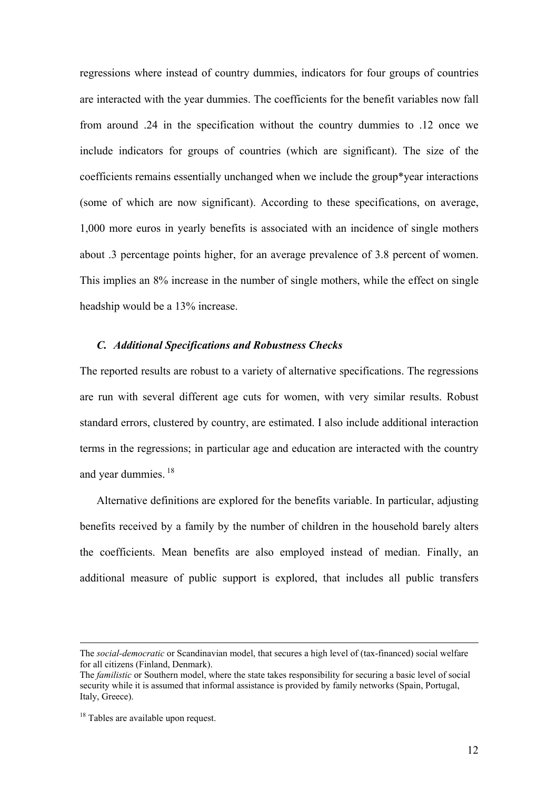regressions where instead of country dummies, indicators for four groups of countries are interacted with the year dummies. The coefficients for the benefit variables now fall from around .24 in the specification without the country dummies to .12 once we include indicators for groups of countries (which are significant). The size of the coefficients remains essentially unchanged when we include the group\*year interactions (some of which are now significant). According to these specifications, on average, 1,000 more euros in yearly benefits is associated with an incidence of single mothers about .3 percentage points higher, for an average prevalence of 3.8 percent of women. This implies an 8% increase in the number of single mothers, while the effect on single headship would be a 13% increase.

#### *C. Additional Specifications and Robustness Checks*

The reported results are robust to a variety of alternative specifications. The regressions are run with several different age cuts for women, with very similar results. Robust standard errors, clustered by country, are estimated. I also include additional interaction terms in the regressions; in particular age and education are interacted with the country and year dummies. 18

Alternative definitions are explored for the benefits variable. In particular, adjusting benefits received by a family by the number of children in the household barely alters the coefficients. Mean benefits are also employed instead of median. Finally, an additional measure of public support is explored, that includes all public transfers

The *social-democratic* or Scandinavian model, that secures a high level of (tax-financed) social welfare for all citizens (Finland, Denmark).

The *familistic* or Southern model, where the state takes responsibility for securing a basic level of social security while it is assumed that informal assistance is provided by family networks (Spain, Portugal, Italy, Greece).

<sup>&</sup>lt;sup>18</sup> Tables are available upon request.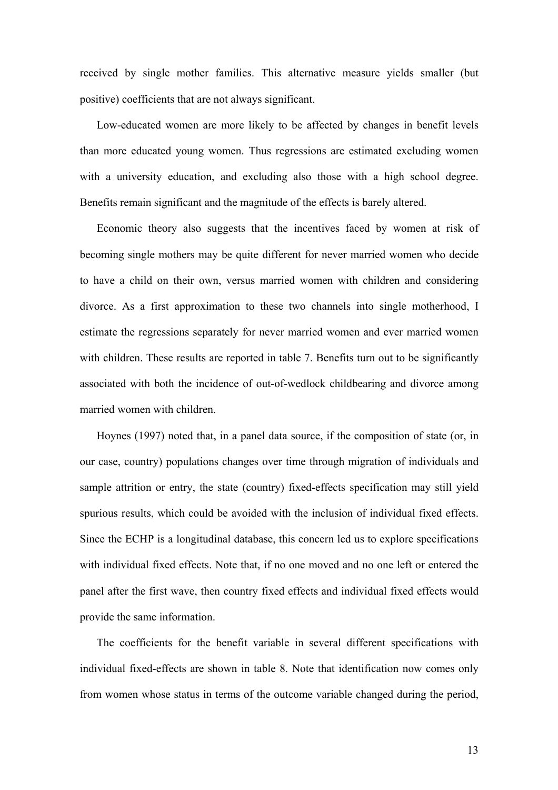received by single mother families. This alternative measure yields smaller (but positive) coefficients that are not always significant.

Low-educated women are more likely to be affected by changes in benefit levels than more educated young women. Thus regressions are estimated excluding women with a university education, and excluding also those with a high school degree. Benefits remain significant and the magnitude of the effects is barely altered.

Economic theory also suggests that the incentives faced by women at risk of becoming single mothers may be quite different for never married women who decide to have a child on their own, versus married women with children and considering divorce. As a first approximation to these two channels into single motherhood, I estimate the regressions separately for never married women and ever married women with children. These results are reported in table 7. Benefits turn out to be significantly associated with both the incidence of out-of-wedlock childbearing and divorce among married women with children.

Hoynes (1997) noted that, in a panel data source, if the composition of state (or, in our case, country) populations changes over time through migration of individuals and sample attrition or entry, the state (country) fixed-effects specification may still yield spurious results, which could be avoided with the inclusion of individual fixed effects. Since the ECHP is a longitudinal database, this concern led us to explore specifications with individual fixed effects. Note that, if no one moved and no one left or entered the panel after the first wave, then country fixed effects and individual fixed effects would provide the same information.

The coefficients for the benefit variable in several different specifications with individual fixed-effects are shown in table 8. Note that identification now comes only from women whose status in terms of the outcome variable changed during the period,

13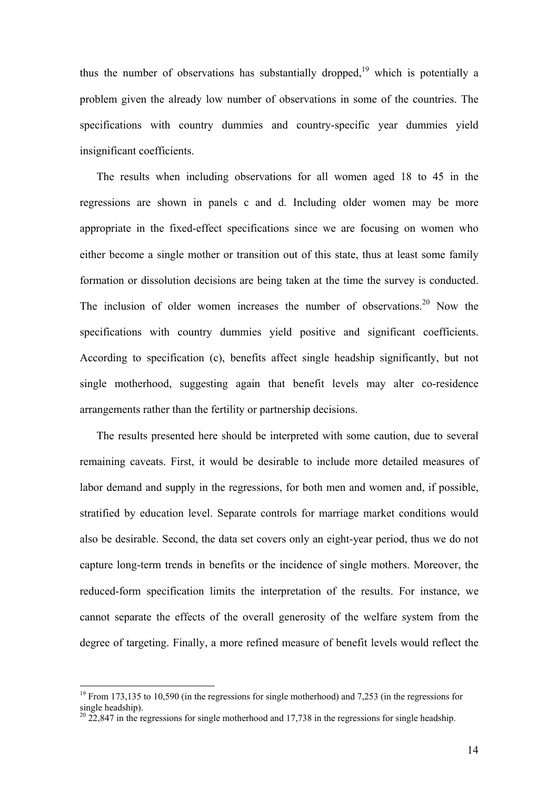thus the number of observations has substantially dropped,<sup>19</sup> which is potentially a problem given the already low number of observations in some of the countries. The specifications with country dummies and country-specific year dummies yield insignificant coefficients.

The results when including observations for all women aged 18 to 45 in the regressions are shown in panels c and d. Including older women may be more appropriate in the fixed-effect specifications since we are focusing on women who either become a single mother or transition out of this state, thus at least some family formation or dissolution decisions are being taken at the time the survey is conducted. The inclusion of older women increases the number of observations.<sup>20</sup> Now the specifications with country dummies yield positive and significant coefficients. According to specification (c), benefits affect single headship significantly, but not single motherhood, suggesting again that benefit levels may alter co-residence arrangements rather than the fertility or partnership decisions.

The results presented here should be interpreted with some caution, due to several remaining caveats. First, it would be desirable to include more detailed measures of labor demand and supply in the regressions, for both men and women and, if possible, stratified by education level. Separate controls for marriage market conditions would also be desirable. Second, the data set covers only an eight-year period, thus we do not capture long-term trends in benefits or the incidence of single mothers. Moreover, the reduced-form specification limits the interpretation of the results. For instance, we cannot separate the effects of the overall generosity of the welfare system from the degree of targeting. Finally, a more refined measure of benefit levels would reflect the

 $19$  From 173,135 to 10,590 (in the regressions for single motherhood) and 7,253 (in the regressions for single headship).

 $20\,22,847$  in the regressions for single motherhood and 17,738 in the regressions for single headship.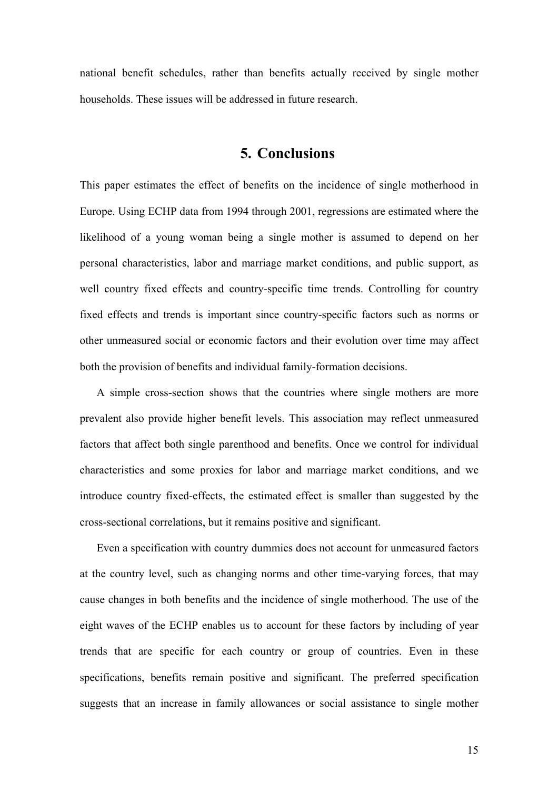national benefit schedules, rather than benefits actually received by single mother households. These issues will be addressed in future research.

# **5. Conclusions**

This paper estimates the effect of benefits on the incidence of single motherhood in Europe. Using ECHP data from 1994 through 2001, regressions are estimated where the likelihood of a young woman being a single mother is assumed to depend on her personal characteristics, labor and marriage market conditions, and public support, as well country fixed effects and country-specific time trends. Controlling for country fixed effects and trends is important since country-specific factors such as norms or other unmeasured social or economic factors and their evolution over time may affect both the provision of benefits and individual family-formation decisions.

A simple cross-section shows that the countries where single mothers are more prevalent also provide higher benefit levels. This association may reflect unmeasured factors that affect both single parenthood and benefits. Once we control for individual characteristics and some proxies for labor and marriage market conditions, and we introduce country fixed-effects, the estimated effect is smaller than suggested by the cross-sectional correlations, but it remains positive and significant.

Even a specification with country dummies does not account for unmeasured factors at the country level, such as changing norms and other time-varying forces, that may cause changes in both benefits and the incidence of single motherhood. The use of the eight waves of the ECHP enables us to account for these factors by including of year trends that are specific for each country or group of countries. Even in these specifications, benefits remain positive and significant. The preferred specification suggests that an increase in family allowances or social assistance to single mother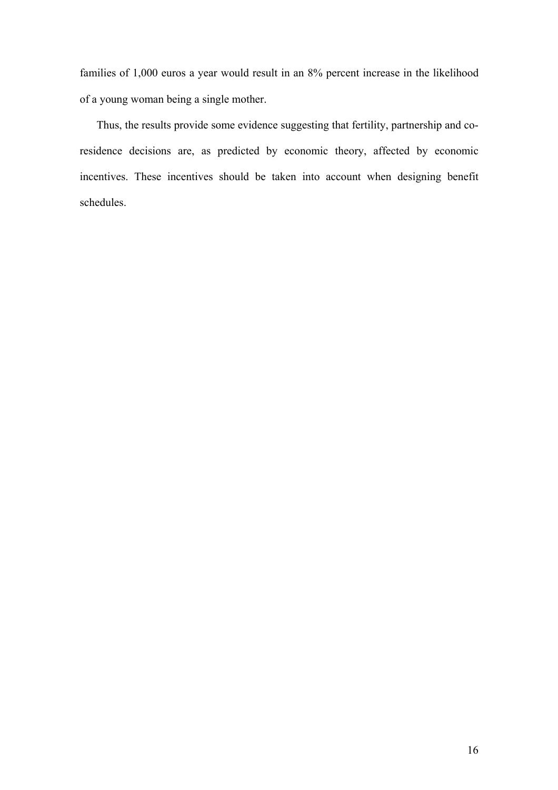families of 1,000 euros a year would result in an 8% percent increase in the likelihood of a young woman being a single mother.

Thus, the results provide some evidence suggesting that fertility, partnership and coresidence decisions are, as predicted by economic theory, affected by economic incentives. These incentives should be taken into account when designing benefit schedules.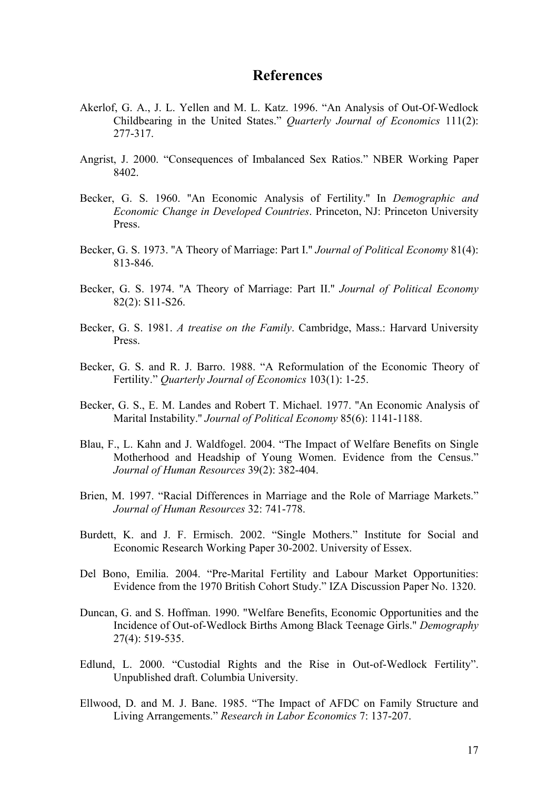## **References**

- Akerlof, G. A., J. L. Yellen and M. L. Katz. 1996. "An Analysis of Out-Of-Wedlock Childbearing in the United States." *Quarterly Journal of Economics* 111(2): 277-317.
- Angrist, J. 2000. "Consequences of Imbalanced Sex Ratios." NBER Working Paper 8402.
- Becker, G. S. 1960. ''An Economic Analysis of Fertility.'' In *Demographic and Economic Change in Developed Countries*. Princeton, NJ: Princeton University Press.
- Becker, G. S. 1973. ''A Theory of Marriage: Part I.'' *Journal of Political Economy* 81(4): 813-846.
- Becker, G. S. 1974. ''A Theory of Marriage: Part II.'' *Journal of Political Economy* 82(2): S11-S26.
- Becker, G. S. 1981. *A treatise on the Family*. Cambridge, Mass.: Harvard University Press.
- Becker, G. S. and R. J. Barro. 1988. "A Reformulation of the Economic Theory of Fertility." *Quarterly Journal of Economics* 103(1): 1-25.
- Becker, G. S., E. M. Landes and Robert T. Michael. 1977. ''An Economic Analysis of Marital Instability.'' *Journal of Political Economy* 85(6): 1141-1188.
- Blau, F., L. Kahn and J. Waldfogel. 2004. "The Impact of Welfare Benefits on Single Motherhood and Headship of Young Women. Evidence from the Census." *Journal of Human Resources* 39(2): 382-404.
- Brien, M. 1997. "Racial Differences in Marriage and the Role of Marriage Markets." *Journal of Human Resources* 32: 741-778.
- Burdett, K. and J. F. Ermisch. 2002. "Single Mothers." Institute for Social and Economic Research Working Paper 30-2002. University of Essex.
- Del Bono, Emilia. 2004. "Pre-Marital Fertility and Labour Market Opportunities: Evidence from the 1970 British Cohort Study." IZA Discussion Paper No. 1320.
- Duncan, G. and S. Hoffman. 1990. "Welfare Benefits, Economic Opportunities and the Incidence of Out-of-Wedlock Births Among Black Teenage Girls." *Demography* 27(4): 519-535.
- Edlund, L. 2000. "Custodial Rights and the Rise in Out-of-Wedlock Fertility". Unpublished draft. Columbia University.
- Ellwood, D. and M. J. Bane. 1985. "The Impact of AFDC on Family Structure and Living Arrangements." *Research in Labor Economics* 7: 137-207.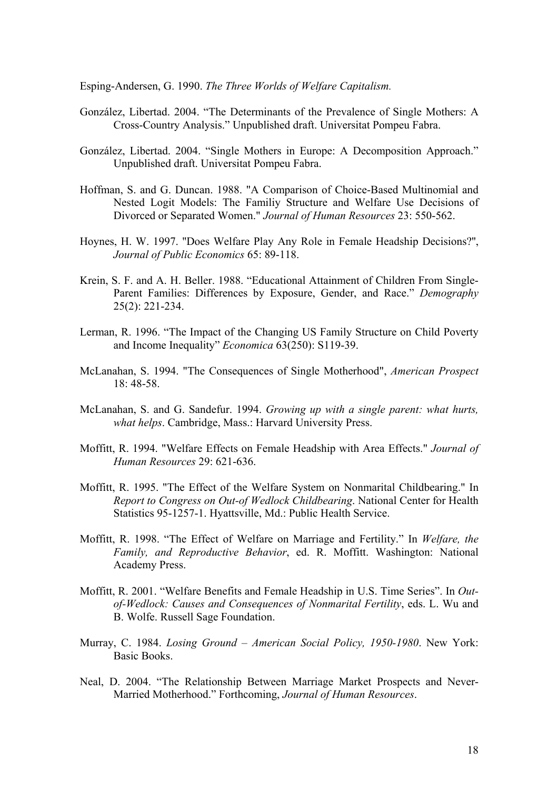Esping-Andersen, G. 1990. *The Three Worlds of Welfare Capitalism.*

- González, Libertad. 2004. "The Determinants of the Prevalence of Single Mothers: A Cross-Country Analysis." Unpublished draft. Universitat Pompeu Fabra.
- González, Libertad. 2004. "Single Mothers in Europe: A Decomposition Approach." Unpublished draft. Universitat Pompeu Fabra.
- Hoffman, S. and G. Duncan. 1988. "A Comparison of Choice-Based Multinomial and Nested Logit Models: The Familiy Structure and Welfare Use Decisions of Divorced or Separated Women." *Journal of Human Resources* 23: 550-562.
- Hoynes, H. W. 1997. ''Does Welfare Play Any Role in Female Headship Decisions?'', *Journal of Public Economics* 65: 89-118.
- Krein, S. F. and A. H. Beller. 1988. "Educational Attainment of Children From Single-Parent Families: Differences by Exposure, Gender, and Race." *Demography* 25(2): 221-234.
- Lerman, R. 1996. "The Impact of the Changing US Family Structure on Child Poverty and Income Inequality" *Economica* 63(250): S119-39.
- McLanahan, S. 1994. "The Consequences of Single Motherhood", *American Prospect* 18: 48-58.
- McLanahan, S. and G. Sandefur. 1994. *Growing up with a single parent: what hurts, what helps*. Cambridge, Mass.: Harvard University Press.
- Moffitt, R. 1994. "Welfare Effects on Female Headship with Area Effects." *Journal of Human Resources* 29: 621-636.
- Moffitt, R. 1995. "The Effect of the Welfare System on Nonmarital Childbearing." In *Report to Congress on Out-of Wedlock Childbearing*. National Center for Health Statistics 95-1257-1. Hyattsville, Md.: Public Health Service.
- Moffitt, R. 1998. "The Effect of Welfare on Marriage and Fertility." In *Welfare, the Family, and Reproductive Behavior*, ed. R. Moffitt. Washington: National Academy Press.
- Moffitt, R. 2001. "Welfare Benefits and Female Headship in U.S. Time Series". In *Outof-Wedlock: Causes and Consequences of Nonmarital Fertility*, eds. L. Wu and B. Wolfe. Russell Sage Foundation.
- Murray, C. 1984. *Losing Ground American Social Policy, 1950-1980*. New York: Basic Books.
- Neal, D. 2004. "The Relationship Between Marriage Market Prospects and Never-Married Motherhood." Forthcoming, *Journal of Human Resources*.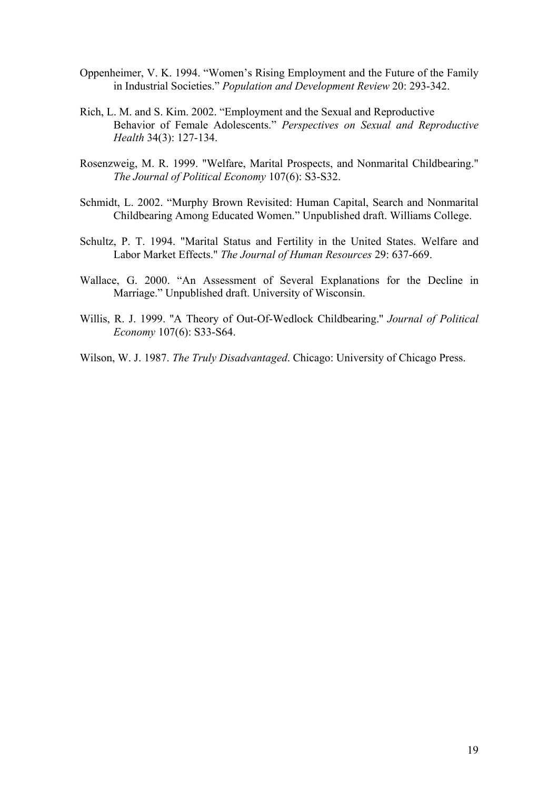- Oppenheimer, V. K. 1994. "Women's Rising Employment and the Future of the Family in Industrial Societies." *Population and Development Review* 20: 293-342.
- Rich, L. M. and S. Kim. 2002. "Employment and the Sexual and Reproductive Behavior of Female Adolescents." *Perspectives on Sexual and Reproductive Health* 34(3): 127-134.
- Rosenzweig, M. R. 1999. "Welfare, Marital Prospects, and Nonmarital Childbearing." *The Journal of Political Economy* 107(6): S3-S32.
- Schmidt, L. 2002. "Murphy Brown Revisited: Human Capital, Search and Nonmarital Childbearing Among Educated Women." Unpublished draft. Williams College.
- Schultz, P. T. 1994. "Marital Status and Fertility in the United States. Welfare and Labor Market Effects." *The Journal of Human Resources* 29: 637-669.
- Wallace, G. 2000. "An Assessment of Several Explanations for the Decline in Marriage." Unpublished draft. University of Wisconsin.
- Willis, R. J. 1999. ''A Theory of Out-Of-Wedlock Childbearing.'' *Journal of Political Economy* 107(6): S33-S64.
- Wilson, W. J. 1987. *The Truly Disadvantaged*. Chicago: University of Chicago Press.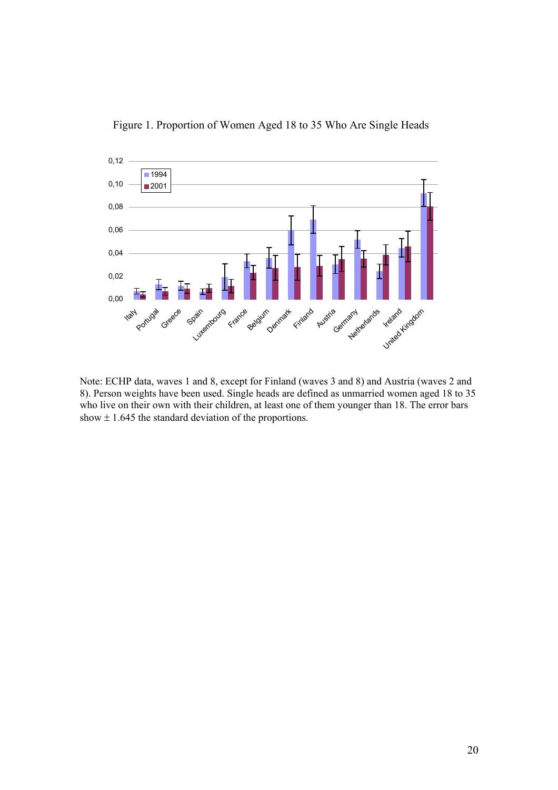

Figure 1. Proportion of Women Aged 18 to 35 Who Are Single Heads

Note: ECHP data, waves 1 and 8, except for Finland (waves 3 and 8) and Austria (waves 2 and 8). Person weights have been used. Single heads are defined as unmarried women aged 18 to 35 who live on their own with their children, at least one of them younger than 18. The error bars show  $\pm$  1.645 the standard deviation of the proportions.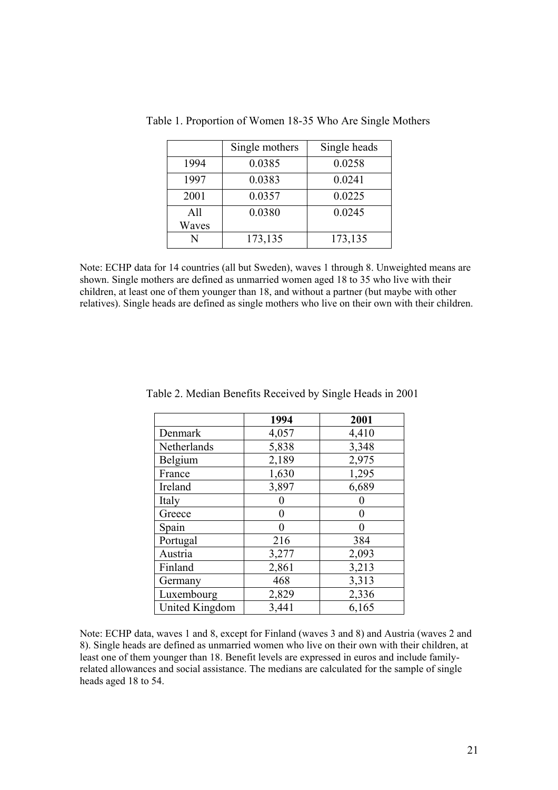|       | Single mothers | Single heads |
|-------|----------------|--------------|
| 1994  | 0.0385         | 0.0258       |
| 1997  | 0.0383         | 0.0241       |
| 2001  | 0.0357         | 0.0225       |
| A11   | 0.0380         | 0.0245       |
| Waves |                |              |
| N     | 173,135        | 173,135      |

Table 1. Proportion of Women 18-35 Who Are Single Mothers

Note: ECHP data for 14 countries (all but Sweden), waves 1 through 8. Unweighted means are shown. Single mothers are defined as unmarried women aged 18 to 35 who live with their children, at least one of them younger than 18, and without a partner (but maybe with other relatives). Single heads are defined as single mothers who live on their own with their children.

|                | 1994  | 2001  |
|----------------|-------|-------|
| Denmark        | 4,057 | 4,410 |
| Netherlands    | 5,838 | 3,348 |
| Belgium        | 2,189 | 2,975 |
| France         | 1,630 | 1,295 |
| Ireland        | 3,897 | 6,689 |
| Italy          |       |       |
| Greece         | 0     | 0     |
| Spain          | 0     | 0     |
| Portugal       | 216   | 384   |
| Austria        | 3,277 | 2,093 |
| Finland        | 2,861 | 3,213 |
| Germany        | 468   | 3,313 |
| Luxembourg     | 2,829 | 2,336 |
| United Kingdom | 3,441 | 6,165 |

Table 2. Median Benefits Received by Single Heads in 2001

Note: ECHP data, waves 1 and 8, except for Finland (waves 3 and 8) and Austria (waves 2 and 8). Single heads are defined as unmarried women who live on their own with their children, at least one of them younger than 18. Benefit levels are expressed in euros and include familyrelated allowances and social assistance. The medians are calculated for the sample of single heads aged 18 to 54.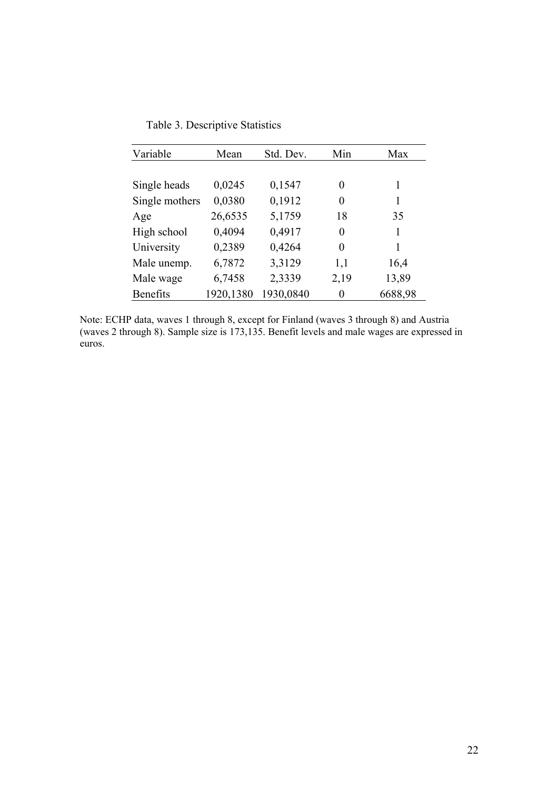| Table 3. Descriptive Statistics |  |
|---------------------------------|--|
|---------------------------------|--|

| Variable        | Mean      | Std. Dev. | Min  | Max     |
|-----------------|-----------|-----------|------|---------|
|                 |           |           |      |         |
| Single heads    | 0,0245    | 0,1547    | 0    | 1       |
| Single mothers  | 0,0380    | 0,1912    | 0    | 1       |
| Age             | 26,6535   | 5,1759    | 18   | 35      |
| High school     | 0,4094    | 0,4917    | 0    | 1       |
| University      | 0,2389    | 0,4264    | 0    | 1       |
| Male unemp.     | 6,7872    | 3,3129    | 1,1  | 16,4    |
| Male wage       | 6,7458    | 2,3339    | 2,19 | 13,89   |
| <b>Benefits</b> | 1920,1380 | 1930,0840 | 0    | 6688,98 |

Note: ECHP data, waves 1 through 8, except for Finland (waves 3 through 8) and Austria (waves 2 through 8). Sample size is 173,135. Benefit levels and male wages are expressed in euros.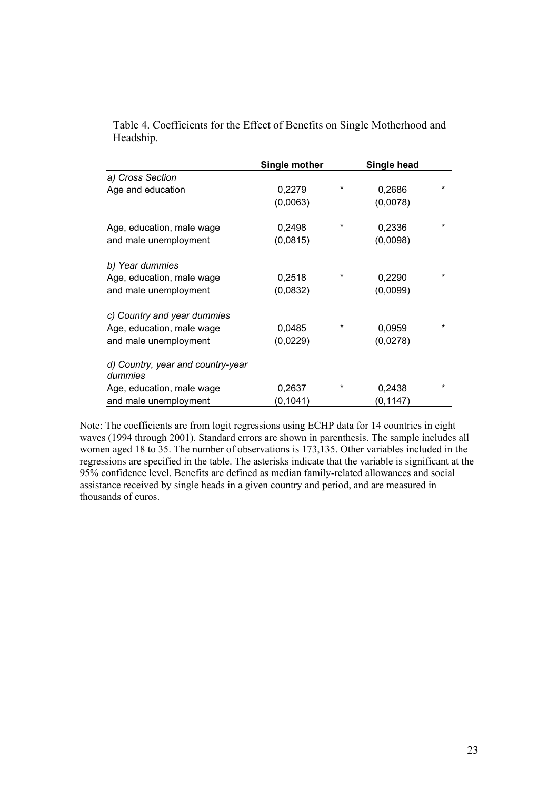|                                              | Single mother |         | Single head |         |
|----------------------------------------------|---------------|---------|-------------|---------|
| a) Cross Section                             |               |         |             |         |
| Age and education                            | 0,2279        | $^\ast$ | 0,2686      | *       |
|                                              | (0,0063)      |         | (0,0078)    |         |
| Age, education, male wage                    | 0,2498        | *       | 0,2336      | $\star$ |
| and male unemployment                        | (0,0815)      |         | (0,0098)    |         |
| b) Year dummies                              |               |         |             |         |
| Age, education, male wage                    | 0,2518        | *       | 0,2290      | $\star$ |
| and male unemployment                        | (0,0832)      |         | (0,0099)    |         |
| c) Country and year dummies                  |               |         |             |         |
| Age, education, male wage                    | 0,0485        | *       | 0,0959      | *       |
| and male unemployment                        | (0,0229)      |         | (0,0278)    |         |
| d) Country, year and country-year<br>dummies |               |         |             |         |
| Age, education, male wage                    | 0,2637        |         | 0,2438      | *       |
| and male unemployment                        | (0, 1041)     |         | (0, 1147)   |         |

Table 4. Coefficients for the Effect of Benefits on Single Motherhood and Headship.

Note: The coefficients are from logit regressions using ECHP data for 14 countries in eight waves (1994 through 2001). Standard errors are shown in parenthesis. The sample includes all women aged 18 to 35. The number of observations is 173,135. Other variables included in the regressions are specified in the table. The asterisks indicate that the variable is significant at the 95% confidence level. Benefits are defined as median family-related allowances and social assistance received by single heads in a given country and period, and are measured in thousands of euros.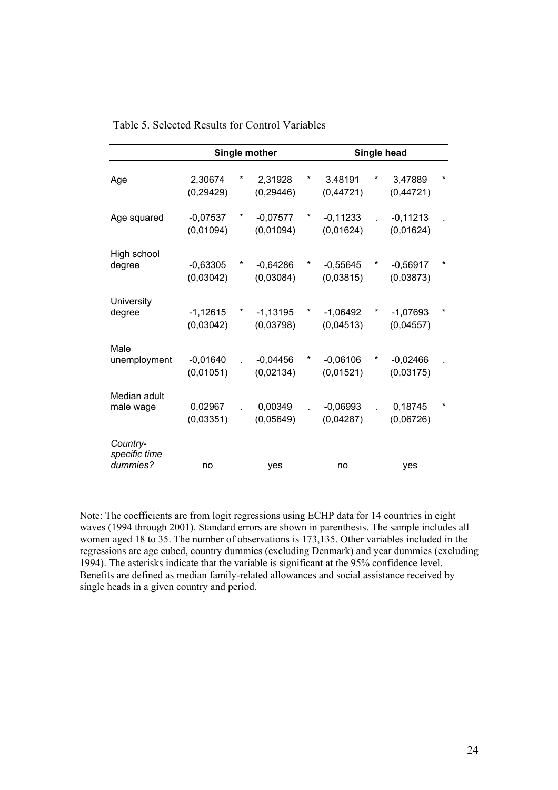|                                       |                         |   | Single mother           |   | Single head             |   |                         |   |  |
|---------------------------------------|-------------------------|---|-------------------------|---|-------------------------|---|-------------------------|---|--|
| Age                                   | 2,30674<br>(0, 29429)   |   | 2,31928<br>(0, 29446)   | * | 3.48191<br>(0,44721)    | * | 3,47889<br>(0,44721)    |   |  |
| Age squared                           | $-0,07537$<br>(0,01094) | * | $-0,07577$<br>(0,01094) | * | $-0,11233$<br>(0,01624) |   | $-0,11213$<br>(0,01624) |   |  |
| High school<br>degree                 | $-0,63305$<br>(0,03042) | * | $-0,64286$<br>(0,03084) | * | $-0,55645$<br>(0,03815) | * | $-0,56917$<br>(0,03873) | * |  |
| University<br>degree                  | $-1,12615$<br>(0,03042) |   | $-1,13195$<br>(0,03798) |   | $-1,06492$<br>(0,04513) |   | $-1,07693$<br>(0,04557) |   |  |
| Male<br>unemployment                  | $-0,01640$<br>(0,01051) |   | $-0,04456$<br>(0,02134) | * | $-0,06106$<br>(0,01521) | × | $-0,02466$<br>(0,03175) |   |  |
| Median adult<br>male wage             | 0,02967<br>(0,03351)    |   | 0,00349<br>(0,05649)    |   | $-0,06993$<br>(0,04287) |   | 0,18745<br>(0,06726)    |   |  |
| Country-<br>specific time<br>dummies? | no                      |   | yes                     |   | no                      |   | yes                     |   |  |

#### Table 5. Selected Results for Control Variables

Note: The coefficients are from logit regressions using ECHP data for 14 countries in eight waves (1994 through 2001). Standard errors are shown in parenthesis. The sample includes all women aged 18 to 35. The number of observations is 173,135. Other variables included in the regressions are age cubed, country dummies (excluding Denmark) and year dummies (excluding 1994). The asterisks indicate that the variable is significant at the 95% confidence level. Benefits are defined as median family-related allowances and social assistance received by single heads in a given country and period.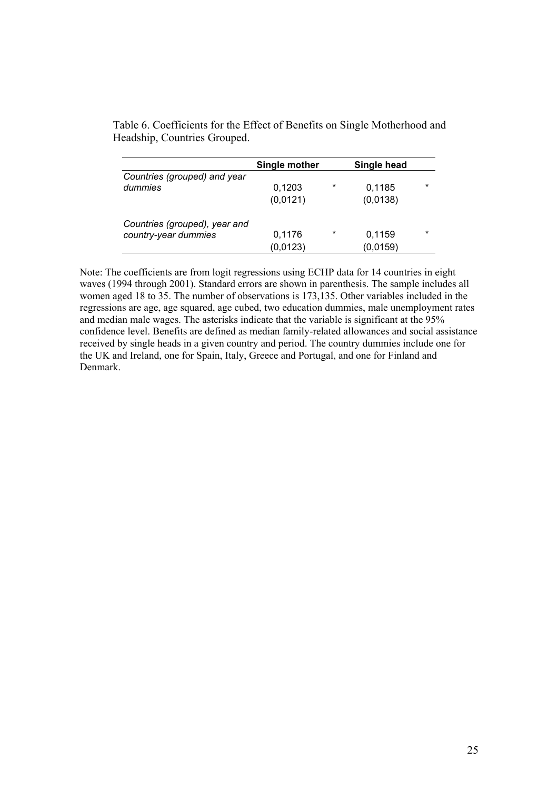|                               | Single mother |         | Single head |         |
|-------------------------------|---------------|---------|-------------|---------|
| Countries (grouped) and year  |               |         |             |         |
| dummies                       | 0,1203        | $\star$ | 0,1185      | $\star$ |
|                               | (0,0121)      |         | (0,0138)    |         |
| Countries (grouped), year and |               |         |             |         |
| country-year dummies          | 0,1176        | $\ast$  | 0,1159      | $\star$ |
|                               | (0,0123)      |         | (0,0159)    |         |

Table 6. Coefficients for the Effect of Benefits on Single Motherhood and Headship, Countries Grouped.

Note: The coefficients are from logit regressions using ECHP data for 14 countries in eight waves (1994 through 2001). Standard errors are shown in parenthesis. The sample includes all women aged 18 to 35. The number of observations is 173,135. Other variables included in the regressions are age, age squared, age cubed, two education dummies, male unemployment rates and median male wages. The asterisks indicate that the variable is significant at the 95% confidence level. Benefits are defined as median family-related allowances and social assistance received by single heads in a given country and period. The country dummies include one for the UK and Ireland, one for Spain, Italy, Greece and Portugal, and one for Finland and Denmark.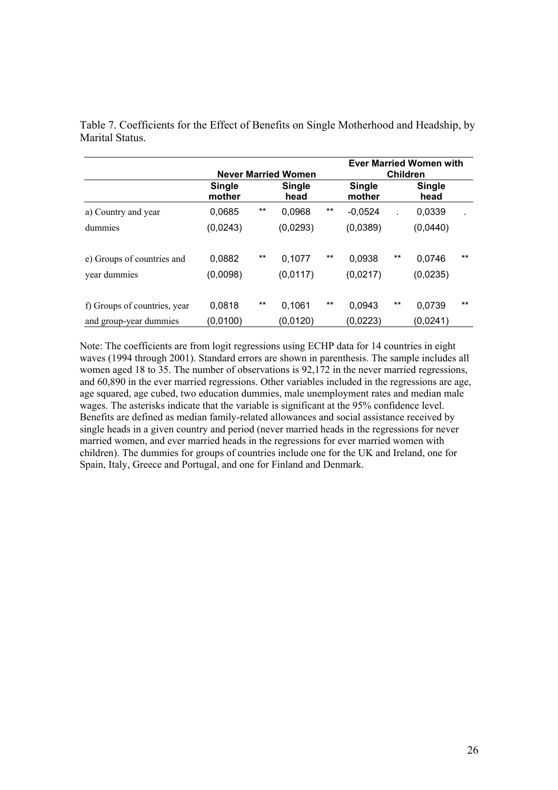|                                                        |                         |       | <b>Never Married Women</b> |       | <b>Ever Married Women with</b><br><b>Children</b> |       |                    |       |
|--------------------------------------------------------|-------------------------|-------|----------------------------|-------|---------------------------------------------------|-------|--------------------|-------|
|                                                        | <b>Single</b><br>mother |       | <b>Single</b><br>head      |       | <b>Single</b><br>mother                           |       | Single<br>head     |       |
| a) Country and year                                    | 0.0685                  | $***$ | 0.0968                     | $***$ | $-0.0524$                                         |       | 0,0339             | ÷.    |
| dummies                                                | (0,0243)                |       | (0,0293)                   |       | (0,0389)                                          |       | (0,0440)           |       |
| e) Groups of countries and<br>year dummies             | 0,0882<br>(0,0098)      | $***$ | 0,1077<br>(0,0117)         | $***$ | 0.0938<br>(0,0217)                                | $***$ | 0,0746<br>(0,0235) | $***$ |
| f) Groups of countries, year<br>and group-year dummies | 0,0818<br>(0,0100)      | $***$ | 0.1061<br>(0,0120)         | $***$ | 0.0943<br>(0,0223)                                | $***$ | 0.0739<br>(0,0241) | $***$ |

Table 7. Coefficients for the Effect of Benefits on Single Motherhood and Headship, by Marital Status.

Note: The coefficients are from logit regressions using ECHP data for 14 countries in eight waves (1994 through 2001). Standard errors are shown in parenthesis. The sample includes all women aged 18 to 35. The number of observations is 92,172 in the never married regressions, and 60,890 in the ever married regressions. Other variables included in the regressions are age, age squared, age cubed, two education dummies, male unemployment rates and median male wages. The asterisks indicate that the variable is significant at the 95% confidence level. Benefits are defined as median family-related allowances and social assistance received by single heads in a given country and period (never married heads in the regressions for never married women, and ever married heads in the regressions for ever married women with children). The dummies for groups of countries include one for the UK and Ireland, one for Spain, Italy, Greece and Portugal, and one for Finland and Denmark.